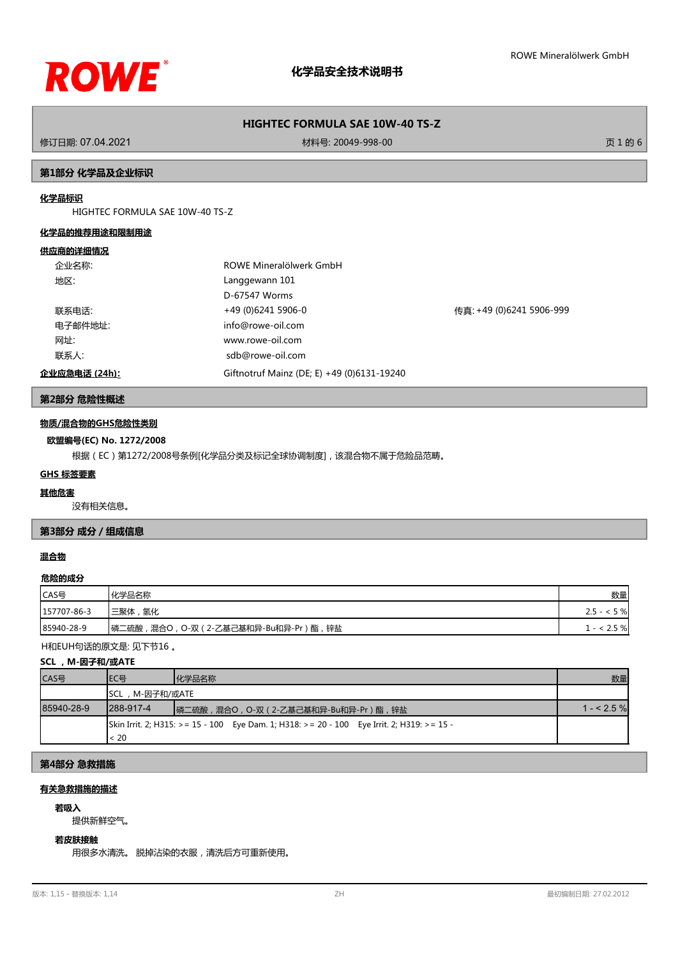

### **HIGHTEC FORMULA SAE 10W-40 TS-Z**

修订日期: 07.04.2021 材料号: 20049-998-00 页 1 的 6

#### **第1部分 化学品及企业标识**

#### **化学品标识**

HIGHTEC FORMULA SAE 10W-40 TS-Z

#### **化学品的推荐用途和限制用途**

#### **供应商的详细情况**

|      | 企业名称:         | ROWE Mineralölwerk GmbH                    |                          |
|------|---------------|--------------------------------------------|--------------------------|
| 地区:  |               | Langgewann 101                             |                          |
|      |               | D-67547 Worms                              |                          |
|      | 联系电话:         | +49 (0)6241 5906-0                         | 传真: +49 (0)6241 5906-999 |
|      | 电子邮件地址:       | info@rowe-oil.com                          |                          |
| 网址:  |               | www.rowe-oil.com                           |                          |
| 联系人: |               | sdb@rowe-oil.com                           |                          |
|      | 企业应急电话 (24h): | Giftnotruf Mainz (DE; E) +49 (0)6131-19240 |                          |

### **第2部分 危险性概述**

#### **物质/混合物的GHS危险性类别**

#### **欧盟编号(EC) No. 1272/2008**

根据(EC)第1272/2008号条例[化学品分类及标记全球协调制度],该混合物不属于危险品范畴。

#### **GHS 标签要素**

#### **其他危害**

没有相关信息。

#### **第3部分 成分/组成信息**

#### **混合物**

#### **危险的成分**

| CAS号        | 化学品名称                                   | 数量              |
|-------------|-----------------------------------------|-----------------|
| 157707-86-3 | '三聚体 ,<br> 氢化                           | $2.5 -$<br>< 5% |
| 85940-28-9  | 锌盐<br>┃磷二硫酸,混合○,○-双(2-乙基己基和异-Bu和异-Pr)酯, | 2.5 %           |

H和EUH句话的原文是: 见下节16 。

#### **SCL ,M-因子和/或ATE**

| CAS号       | IEC목                                                                                       | 化学品名称                              | 数量          |
|------------|--------------------------------------------------------------------------------------------|------------------------------------|-------------|
|            | SCL,M-因子和/或ATE                                                                             |                                    |             |
| 85940-28-9 | $1288 - 917 - 4$                                                                           | 磷二硫酸,混合O,O-双(2-乙基己基和异-Bu和异-Pr)酯,锌盐 | $1 - 2.5\%$ |
|            | Skin Irrit. 2; H315: >= 15 - 100 Eye Dam. 1; H318: >= 20 - 100 Eye Irrit. 2; H319: >= 15 - |                                    |             |
|            | < 20                                                                                       |                                    |             |

### **第4部分 急救措施**

### **有关急救措施的描述**

# **若吸入**

提供新鲜空气。

## **若皮肤接触**

用很多水清洗。 脱掉沾染的衣服,清洗后方可重新使用。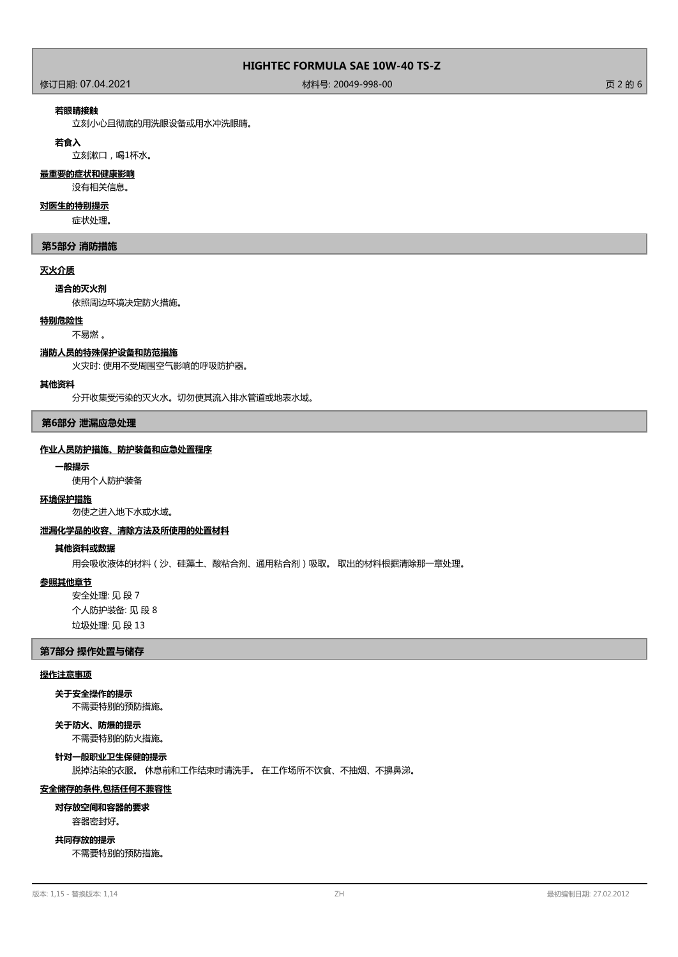作为<br>1999年 - 1999年 - 1999年 - 1999年 - 1999年 - 1999年 - 1999年 - 1999年 - 1999年 - 1999年 - 1999年 - 1999年 - 1999年 - 1999年<br>1999年 - 1999年 - 1999年 - 1999年 - 1999年 - 1999年 - 1999年 - 1999年 - 1999年 - 1999年 - 1999年 - 1999年 - 1999年 - 199

#### **若眼睛接触**

立刻小心且彻底的用洗眼设备或用水冲洗眼睛。

#### **若食入**

立刻漱口,喝1杯水。

### **最重要的症状和健康影响**

没有相关信息。

#### **对医生的特别提示**

症状处理。

#### **第5部分 消防措施**

#### **灭火介质**

#### **适合的灭火剂**

依照周边环境决定防火措施。

#### **特别危险性**

#### 不易燃 。

#### **消防人员的特殊保护设备和防范措施**

火灾时: 使用不受周围空气影响的呼吸防护器。

#### **其他资料**

分开收集受污染的灭火水。切勿使其流入排水管道或地表水域。

#### **第6部分 泄漏应急处理**

#### **作业人员防护措施、防护装备和应急处置程序**

#### **一般提示**

使用个人防护装备

#### **环境保护措施**

勿使之进入地下水或水域。

#### **泄漏化学品的收容、清除方法及所使用的处置材料**

#### **其他资料或数据**

用会吸收液体的材料(沙、硅藻土、酸粘合剂、通用粘合剂)吸取。 取出的材料根据清除那一章处理。

#### **参照其他章节**

安全处理: 见 段 7 个人防护装备: 见 段 8 垃圾处理: 见 段 13

#### **第7部分 操作处置与储存**

#### **操作注意事项**

不需要特别的预防措施。 **关于安全操作的提示**

### **关于防火、防爆的提示**

不需要特别的防火措施。

**针对一般职业卫生保健的提示**

脱掉沾染的衣服。 休息前和工作结束时请洗手。 在工作场所不饮食、不抽烟、不擤鼻涕。

#### **安全储存的条件,包括任何不兼容性**

#### **对存放空间和容器的要求**

容器密封好。

#### **共同存放的提示**

不需要特别的预防措施。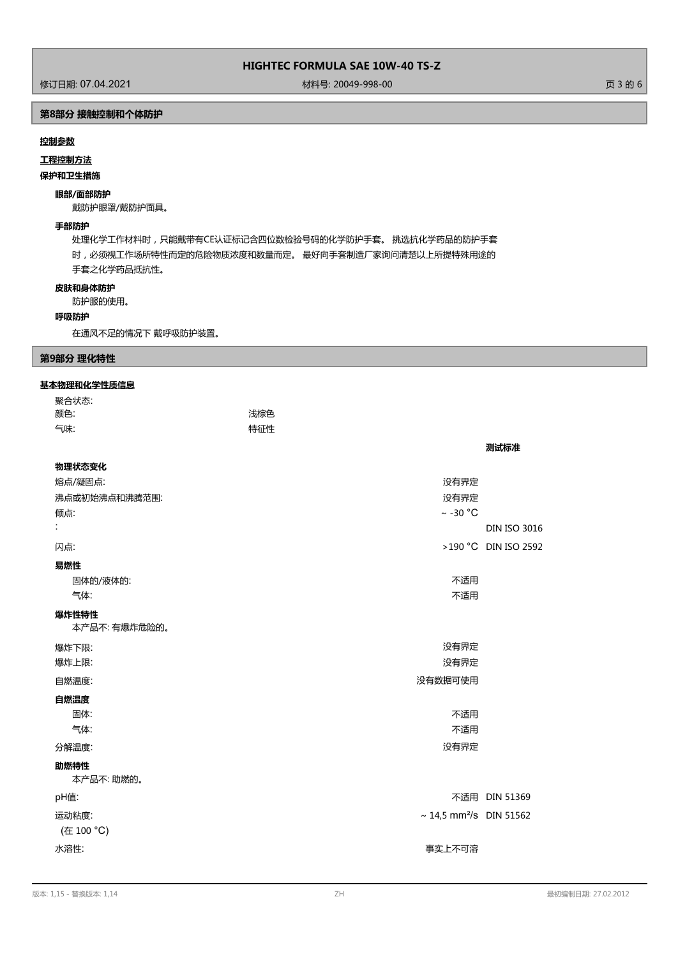修订日期: 07.04.2021 材料号: 20049-998-00 页 3 的 6

### **第8部分 接触控制和个体防护**

#### **控制参数**

**工程控制方法**

#### **保护和卫生措施**

### **眼部/面部防护**

戴防护眼罩/戴防护面具。

#### **手部防护**

处理化学工作材料时,只能戴带有CE认证标记含四位数检验号码的化学防护手套。 挑选抗化学药品的防护手套 时,必须视工作场所特性而定的危险物质浓度和数量而定。 最好向手套制造厂家询问清楚以上所提特殊用途的 手套之化学药品抵抗性。

#### **皮肤和身体防护**

防护服的使用。

#### **呼吸防护**

在通风不足的情况下 戴呼吸防护装置。

#### **第9部分 理化特性**

#### **基本物理和化学性质信息**

| 聚合状态:                  |     |                                          |                      |
|------------------------|-----|------------------------------------------|----------------------|
| 颜色:                    | 浅棕色 |                                          |                      |
| 气味:                    | 特征性 |                                          |                      |
|                        |     |                                          | 测试标准                 |
| 物理状态变化                 |     |                                          |                      |
| 熔点/凝固点:                |     | 没有界定                                     |                      |
| 沸点或初始沸点和沸腾范围:          |     | 没有界定                                     |                      |
| 倾点:                    |     | $\sim$ -30 °C                            |                      |
| t                      |     |                                          | <b>DIN ISO 3016</b>  |
| 闪点:                    |     |                                          | >190 °C DIN ISO 2592 |
| 易燃性                    |     |                                          |                      |
| 固体的/液体的:               |     | 不适用                                      |                      |
| 气体:                    |     | 不适用                                      |                      |
| 爆炸性特性<br>本产品不: 有爆炸危险的。 |     |                                          |                      |
| 爆炸下限:                  |     | 没有界定                                     |                      |
| 爆炸上限:                  |     | 没有界定                                     |                      |
| 自燃温度:                  |     | 没有数据可使用                                  |                      |
| 自燃温度                   |     |                                          |                      |
| 固体:                    |     | 不适用                                      |                      |
| 气体:                    |     | 不适用                                      |                      |
| 分解温度:                  |     | 没有界定                                     |                      |
| 助燃特性<br>本产品不:助燃的。      |     |                                          |                      |
| pH值:                   |     |                                          | 不适用 DIN 51369        |
| 运动粘度:                  |     | $\sim$ 14,5 mm <sup>2</sup> /s DIN 51562 |                      |
| (在 100 °C)             |     |                                          |                      |
| 水溶性:                   |     | 事实上不可溶                                   |                      |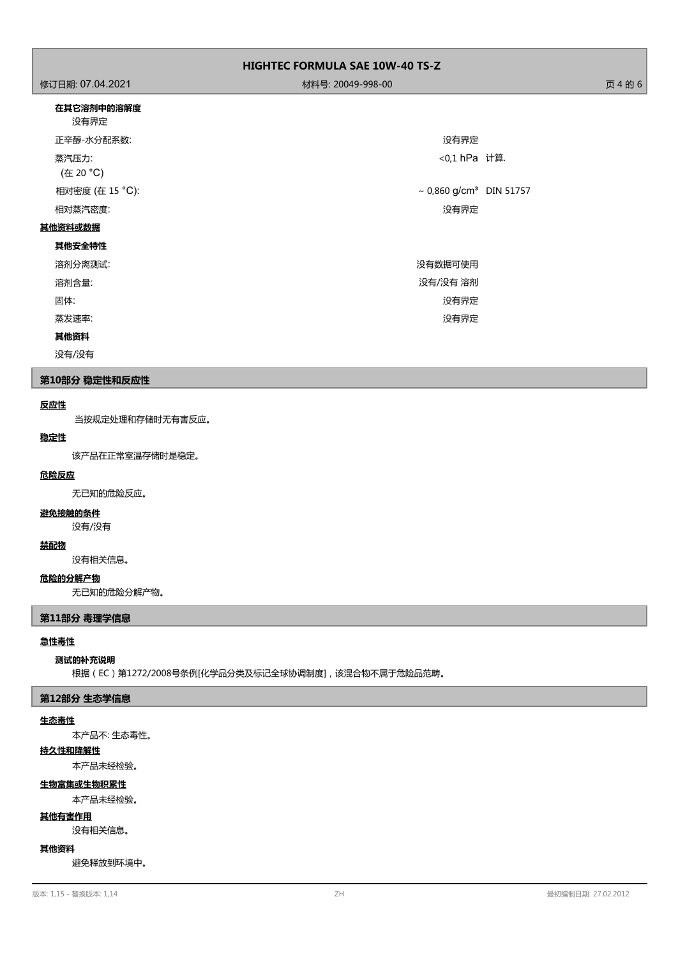| <b>HIGHTEC FORMULA SAE 10W-40 TS-Z</b> |                                     |  |  |
|----------------------------------------|-------------------------------------|--|--|
| 修订日期: 07.04.2021                       | 材料号: 20049-998-00                   |  |  |
| 在其它溶剂中的溶解度<br>没有界定                     |                                     |  |  |
| 正辛醇-水分配系数:                             | 没有界定                                |  |  |
| 蒸汽压力:<br>(在 20 °C)                     | <0,1 hPa 计算.                        |  |  |
| 相对密度 (在 15 °C):                        | ~ 0,860 g/cm <sup>3</sup> DIN 51757 |  |  |
| 相对蒸汽密度:                                | 没有界定                                |  |  |
| 其他资料或数据                                |                                     |  |  |
| 其他安全特性                                 |                                     |  |  |
| 溶剂分离测试:                                | 没有数据可使用                             |  |  |
| 溶剂含量:                                  | 没有/没有 溶剂                            |  |  |
| 固体:                                    | 没有界定                                |  |  |
| 蒸发速率:                                  | 没有界定                                |  |  |
| 其他资料                                   |                                     |  |  |

没有/没有

#### **第10部分 稳定性和反应性**

#### **反应性**

当按规定处理和存储时无有害反应。

# **稳定性**

该产品在正常室温存储时是稳定。

#### **危险反应**

无已知的危险反应。

### **避免接触的条件**

没有/没有

#### **禁配物**

没有相关信息。

### **危险的分解产物**

无已知的危险分解产物。

#### **第11部分 毒理学信息**

#### **急性毒性**

#### **测试的补充说明**

根据(EC)第1272/2008号条例[化学品分类及标记全球协调制度],该混合物不属于危险品范畴。

#### **第12部分 生态学信息**

#### **生态毒性**

本产品不: 生态毒性。

### **持久性和降解性**

本产品未经检验。

#### **生物富集或生物积累性**

本产品未经检验。

#### **其他有害作用**

没有相关信息。

#### **其他资料**

避免释放到环境中。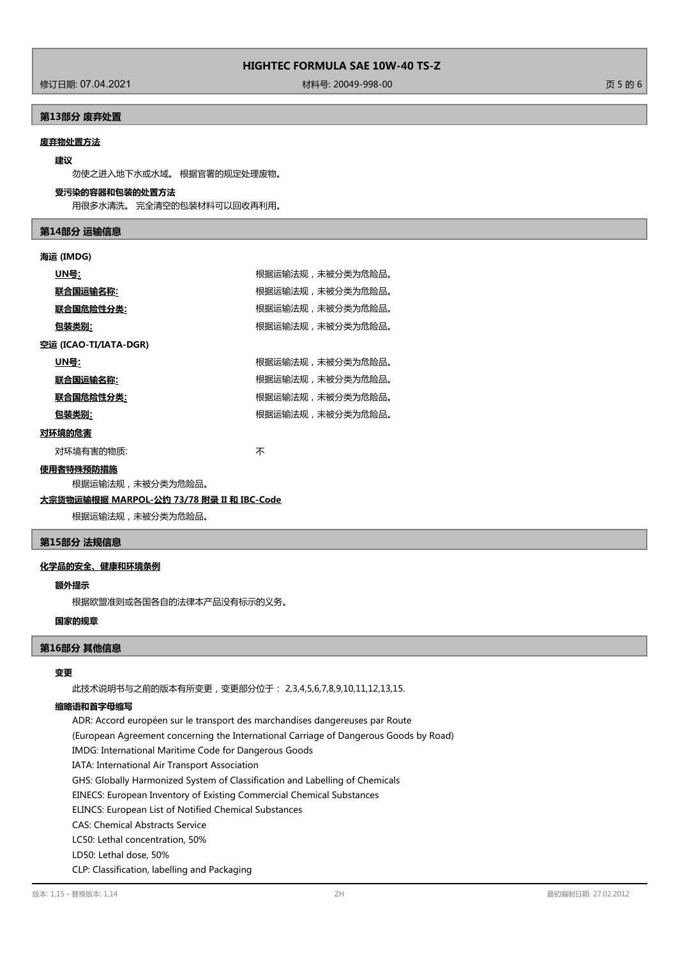修订日期: 07.04.2021 材料号: 20049-998-00 页 5 的 6

### **第13部分 废弃处置**

### **废弃物处置方法**

### **建议**

勿使之进入地下水或水域。 根据官署的规定处理废物。

#### **受污染的容器和包装的处置方法**

用很多水清洗。 完全清空的包装材料可以回收再利用。

#### **第14部分 运输信息**

#### **海运 (IMDG)**

|        | <u> UN号:</u>          | 根据运输法规,未被分类为危险品。 |
|--------|-----------------------|------------------|
|        | 联合国运输名称:              | 根据运输法规,未被分类为危险品。 |
|        | 联合国危险性分类:             | 根据运输法规,未被分类为危险品。 |
|        | 包装类别:                 | 根据运输法规,未被分类为危险品。 |
|        | 空运 (ICAO-TI/IATA-DGR) |                  |
|        | UN号:                  | 根据运输法规,未被分类为危险品。 |
|        | 联合国运输名称:              | 根据运输法规,未被分类为危险品。 |
|        | 联合国危险性分类:             | 根据运输法规,未被分类为危险品。 |
|        | 包装类别:                 | 根据运输法规,未被分类为危险品。 |
| 对环境的危害 |                       |                  |
|        | 对环境有害的物质:             | 不                |

#### **使用者特殊预防措施**

根据运输法规,未被分类为危险品。

### **大宗货物运输根据 MARPOL-公约 73/78 附录 II 和 IBC-Code**

根据运输法规,未被分类为危险品。

#### **第15部分 法规信息**

#### **化学品的安全、健康和环境条例**

#### **额外提示**

根据欧盟准则或各国各自的法律本产品没有标示的义务。

### **国家的规章**

#### **第16部分 其他信息**

### **变更**

此技术说明书与之前的版本有所变更,变更部分位于: 2,3,4,5,6,7,8,9,10,11,12,13,15.

### **缩略语和首字母缩写**

ADR: Accord européen sur le transport des marchandises dangereuses par Route (European Agreement concerning the International Carriage of Dangerous Goods by Road) IMDG: International Maritime Code for Dangerous Goods IATA: International Air Transport Association GHS: Globally Harmonized System of Classification and Labelling of Chemicals EINECS: European Inventory of Existing Commercial Chemical Substances ELINCS: European List of Notified Chemical Substances CAS: Chemical Abstracts Service LC50: Lethal concentration, 50% LD50: Lethal dose, 50% CLP: Classification, labelling and Packaging